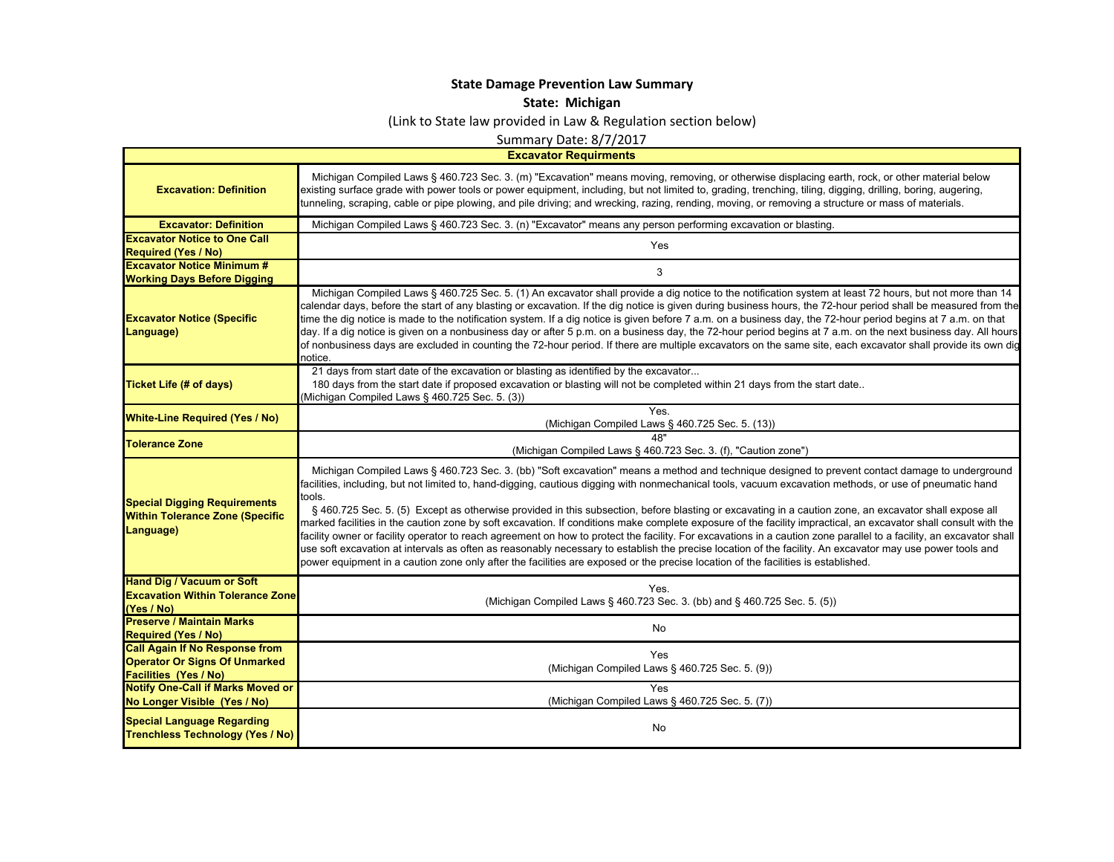## **State Damage Prevention Law Summary**

**State: Michigan**

(Link to State law provided in Law & Regulation section below)

Summary Date: 8/7/2017

**Excavator Requirments**

 $\blacksquare$ 

| <b>Excavation: Definition</b>                                                                                 | Michigan Compiled Laws § 460.723 Sec. 3. (m) "Excavation" means moving, removing, or otherwise displacing earth, rock, or other material below<br>existing surface grade with power tools or power equipment, including, but not limited to, grading, trenching, tiling, digging, drilling, boring, augering,<br>tunneling, scraping, cable or pipe plowing, and pile driving; and wrecking, razing, rending, moving, or removing a structure or mass of materials.                                                                                                                                                                                                                                                                                                                                                                                                                                                                                                                                                                                                                                                      |
|---------------------------------------------------------------------------------------------------------------|--------------------------------------------------------------------------------------------------------------------------------------------------------------------------------------------------------------------------------------------------------------------------------------------------------------------------------------------------------------------------------------------------------------------------------------------------------------------------------------------------------------------------------------------------------------------------------------------------------------------------------------------------------------------------------------------------------------------------------------------------------------------------------------------------------------------------------------------------------------------------------------------------------------------------------------------------------------------------------------------------------------------------------------------------------------------------------------------------------------------------|
| <b>Excavator: Definition</b>                                                                                  | Michigan Compiled Laws § 460.723 Sec. 3. (n) "Excavator" means any person performing excavation or blasting.                                                                                                                                                                                                                                                                                                                                                                                                                                                                                                                                                                                                                                                                                                                                                                                                                                                                                                                                                                                                             |
| <b>Excavator Notice to One Call</b><br><b>Required (Yes / No)</b>                                             | Yes                                                                                                                                                                                                                                                                                                                                                                                                                                                                                                                                                                                                                                                                                                                                                                                                                                                                                                                                                                                                                                                                                                                      |
| <b>Excavator Notice Minimum #</b><br><b>Working Days Before Digging</b>                                       | 3                                                                                                                                                                                                                                                                                                                                                                                                                                                                                                                                                                                                                                                                                                                                                                                                                                                                                                                                                                                                                                                                                                                        |
| <b>Excavator Notice (Specific</b><br>Language)                                                                | Michigan Compiled Laws § 460.725 Sec. 5. (1) An excavator shall provide a dig notice to the notification system at least 72 hours, but not more than 14<br>calendar days, before the start of any blasting or excavation. If the dig notice is given during business hours, the 72-hour period shall be measured from the<br>time the dig notice is made to the notification system. If a dig notice is given before 7 a.m. on a business day, the 72-hour period begins at 7 a.m. on that<br>day. If a dig notice is given on a nonbusiness day or after 5 p.m. on a business day, the 72-hour period begins at 7 a.m. on the next business day. All hours<br>of nonbusiness days are excluded in counting the 72-hour period. If there are multiple excavators on the same site, each excavator shall provide its own dig<br>notice.                                                                                                                                                                                                                                                                                   |
| <b>Ticket Life (# of days)</b>                                                                                | 21 days from start date of the excavation or blasting as identified by the excavator<br>180 days from the start date if proposed excavation or blasting will not be completed within 21 days from the start date<br>(Michigan Compiled Laws § 460.725 Sec. 5. (3))                                                                                                                                                                                                                                                                                                                                                                                                                                                                                                                                                                                                                                                                                                                                                                                                                                                       |
| <b>White-Line Required (Yes / No)</b>                                                                         | <b>Yes</b><br>(Michigan Compiled Laws § 460.725 Sec. 5. (13))                                                                                                                                                                                                                                                                                                                                                                                                                                                                                                                                                                                                                                                                                                                                                                                                                                                                                                                                                                                                                                                            |
| <b>Tolerance Zone</b>                                                                                         | (Michigan Compiled Laws § 460.723 Sec. 3. (f), "Caution zone"                                                                                                                                                                                                                                                                                                                                                                                                                                                                                                                                                                                                                                                                                                                                                                                                                                                                                                                                                                                                                                                            |
| <b>Special Digging Requirements</b><br><b>Within Tolerance Zone (Specific</b><br>Language)                    | Michigan Compiled Laws § 460.723 Sec. 3. (bb) "Soft excavation" means a method and technique designed to prevent contact damage to underground<br>facilities, including, but not limited to, hand-digging, cautious digging with nonmechanical tools, vacuum excavation methods, or use of pneumatic hand<br>tools.<br>§ 460.725 Sec. 5. (5) Except as otherwise provided in this subsection, before blasting or excavating in a caution zone, an excavator shall expose all<br>marked facilities in the caution zone by soft excavation. If conditions make complete exposure of the facility impractical, an excavator shall consult with the<br>facility owner or facility operator to reach agreement on how to protect the facility. For excavations in a caution zone parallel to a facility, an excavator shall<br>use soft excavation at intervals as often as reasonably necessary to establish the precise location of the facility. An excavator may use power tools and<br>power equipment in a caution zone only after the facilities are exposed or the precise location of the facilities is established. |
| <b>Hand Dig / Vacuum or Soft</b><br><b>Excavation Within Tolerance Zone</b><br>(Yes / No)                     | Yes.<br>(Michigan Compiled Laws § 460.723 Sec. 3. (bb) and § 460.725 Sec. 5. (5))                                                                                                                                                                                                                                                                                                                                                                                                                                                                                                                                                                                                                                                                                                                                                                                                                                                                                                                                                                                                                                        |
| <b>Preserve / Maintain Marks</b><br><b>Required (Yes / No)</b>                                                | No                                                                                                                                                                                                                                                                                                                                                                                                                                                                                                                                                                                                                                                                                                                                                                                                                                                                                                                                                                                                                                                                                                                       |
| <b>Call Again If No Response from</b><br><b>Operator Or Signs Of Unmarked</b><br><b>Facilities (Yes / No)</b> | Yes<br>(Michigan Compiled Laws § 460.725 Sec. 5. (9))                                                                                                                                                                                                                                                                                                                                                                                                                                                                                                                                                                                                                                                                                                                                                                                                                                                                                                                                                                                                                                                                    |
| <b>Notify One-Call if Marks Moved or</b><br>No Longer Visible (Yes / No)                                      | Yes<br>(Michigan Compiled Laws § 460.725 Sec. 5. (7))                                                                                                                                                                                                                                                                                                                                                                                                                                                                                                                                                                                                                                                                                                                                                                                                                                                                                                                                                                                                                                                                    |
| <b>Special Language Regarding</b><br><b>Trenchless Technology (Yes / No)</b>                                  | No                                                                                                                                                                                                                                                                                                                                                                                                                                                                                                                                                                                                                                                                                                                                                                                                                                                                                                                                                                                                                                                                                                                       |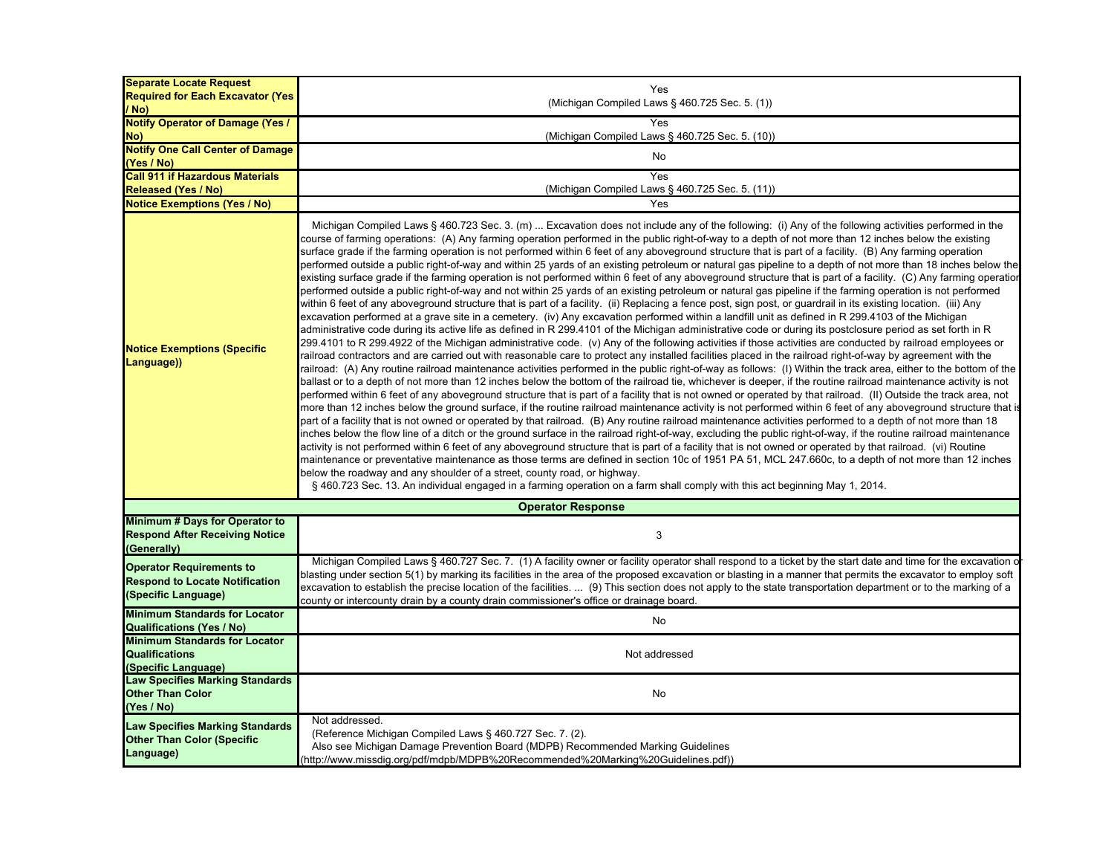| <b>Separate Locate Request</b>                                                                  |                                                                                                                                                                                                                                                                                                                                                                                                                                                                                                                                                                                                                                                                                                                                                                                                                                                                                                                                                                                                                                                                                                                                                                                                                                                                                                                                                                                                                                                                                                                                                                                                                                                                                                                                                                                                                                                                                                                                                                                                                                                                                                                                                                                                                                                                                                                                                                                                                                                                                                                                                                                                                                                                                                                                                                                                                                                                                                                                                                                                                                                                                                                                                                                                                                                                                                                                                    |
|-------------------------------------------------------------------------------------------------|----------------------------------------------------------------------------------------------------------------------------------------------------------------------------------------------------------------------------------------------------------------------------------------------------------------------------------------------------------------------------------------------------------------------------------------------------------------------------------------------------------------------------------------------------------------------------------------------------------------------------------------------------------------------------------------------------------------------------------------------------------------------------------------------------------------------------------------------------------------------------------------------------------------------------------------------------------------------------------------------------------------------------------------------------------------------------------------------------------------------------------------------------------------------------------------------------------------------------------------------------------------------------------------------------------------------------------------------------------------------------------------------------------------------------------------------------------------------------------------------------------------------------------------------------------------------------------------------------------------------------------------------------------------------------------------------------------------------------------------------------------------------------------------------------------------------------------------------------------------------------------------------------------------------------------------------------------------------------------------------------------------------------------------------------------------------------------------------------------------------------------------------------------------------------------------------------------------------------------------------------------------------------------------------------------------------------------------------------------------------------------------------------------------------------------------------------------------------------------------------------------------------------------------------------------------------------------------------------------------------------------------------------------------------------------------------------------------------------------------------------------------------------------------------------------------------------------------------------------------------------------------------------------------------------------------------------------------------------------------------------------------------------------------------------------------------------------------------------------------------------------------------------------------------------------------------------------------------------------------------------------------------------------------------------------------------------------------------------|
| <b>Required for Each Excavator (Yes)</b>                                                        | Yes<br>(Michigan Compiled Laws § 460.725 Sec. 5. (1))                                                                                                                                                                                                                                                                                                                                                                                                                                                                                                                                                                                                                                                                                                                                                                                                                                                                                                                                                                                                                                                                                                                                                                                                                                                                                                                                                                                                                                                                                                                                                                                                                                                                                                                                                                                                                                                                                                                                                                                                                                                                                                                                                                                                                                                                                                                                                                                                                                                                                                                                                                                                                                                                                                                                                                                                                                                                                                                                                                                                                                                                                                                                                                                                                                                                                              |
| / No)                                                                                           |                                                                                                                                                                                                                                                                                                                                                                                                                                                                                                                                                                                                                                                                                                                                                                                                                                                                                                                                                                                                                                                                                                                                                                                                                                                                                                                                                                                                                                                                                                                                                                                                                                                                                                                                                                                                                                                                                                                                                                                                                                                                                                                                                                                                                                                                                                                                                                                                                                                                                                                                                                                                                                                                                                                                                                                                                                                                                                                                                                                                                                                                                                                                                                                                                                                                                                                                                    |
| <b>Notify Operator of Damage (Yes /</b>                                                         | Yes                                                                                                                                                                                                                                                                                                                                                                                                                                                                                                                                                                                                                                                                                                                                                                                                                                                                                                                                                                                                                                                                                                                                                                                                                                                                                                                                                                                                                                                                                                                                                                                                                                                                                                                                                                                                                                                                                                                                                                                                                                                                                                                                                                                                                                                                                                                                                                                                                                                                                                                                                                                                                                                                                                                                                                                                                                                                                                                                                                                                                                                                                                                                                                                                                                                                                                                                                |
| No)                                                                                             | (Michigan Compiled Laws § 460.725 Sec. 5. (10))                                                                                                                                                                                                                                                                                                                                                                                                                                                                                                                                                                                                                                                                                                                                                                                                                                                                                                                                                                                                                                                                                                                                                                                                                                                                                                                                                                                                                                                                                                                                                                                                                                                                                                                                                                                                                                                                                                                                                                                                                                                                                                                                                                                                                                                                                                                                                                                                                                                                                                                                                                                                                                                                                                                                                                                                                                                                                                                                                                                                                                                                                                                                                                                                                                                                                                    |
| <b>Notify One Call Center of Damage</b>                                                         | No                                                                                                                                                                                                                                                                                                                                                                                                                                                                                                                                                                                                                                                                                                                                                                                                                                                                                                                                                                                                                                                                                                                                                                                                                                                                                                                                                                                                                                                                                                                                                                                                                                                                                                                                                                                                                                                                                                                                                                                                                                                                                                                                                                                                                                                                                                                                                                                                                                                                                                                                                                                                                                                                                                                                                                                                                                                                                                                                                                                                                                                                                                                                                                                                                                                                                                                                                 |
| (Yes / No)                                                                                      |                                                                                                                                                                                                                                                                                                                                                                                                                                                                                                                                                                                                                                                                                                                                                                                                                                                                                                                                                                                                                                                                                                                                                                                                                                                                                                                                                                                                                                                                                                                                                                                                                                                                                                                                                                                                                                                                                                                                                                                                                                                                                                                                                                                                                                                                                                                                                                                                                                                                                                                                                                                                                                                                                                                                                                                                                                                                                                                                                                                                                                                                                                                                                                                                                                                                                                                                                    |
| <b>Call 911 if Hazardous Materials</b>                                                          | Yes                                                                                                                                                                                                                                                                                                                                                                                                                                                                                                                                                                                                                                                                                                                                                                                                                                                                                                                                                                                                                                                                                                                                                                                                                                                                                                                                                                                                                                                                                                                                                                                                                                                                                                                                                                                                                                                                                                                                                                                                                                                                                                                                                                                                                                                                                                                                                                                                                                                                                                                                                                                                                                                                                                                                                                                                                                                                                                                                                                                                                                                                                                                                                                                                                                                                                                                                                |
| <b>Released (Yes / No)</b>                                                                      | (Michigan Compiled Laws § 460.725 Sec. 5. (11))                                                                                                                                                                                                                                                                                                                                                                                                                                                                                                                                                                                                                                                                                                                                                                                                                                                                                                                                                                                                                                                                                                                                                                                                                                                                                                                                                                                                                                                                                                                                                                                                                                                                                                                                                                                                                                                                                                                                                                                                                                                                                                                                                                                                                                                                                                                                                                                                                                                                                                                                                                                                                                                                                                                                                                                                                                                                                                                                                                                                                                                                                                                                                                                                                                                                                                    |
| <b>Notice Exemptions (Yes / No)</b>                                                             | Yes                                                                                                                                                                                                                                                                                                                                                                                                                                                                                                                                                                                                                                                                                                                                                                                                                                                                                                                                                                                                                                                                                                                                                                                                                                                                                                                                                                                                                                                                                                                                                                                                                                                                                                                                                                                                                                                                                                                                                                                                                                                                                                                                                                                                                                                                                                                                                                                                                                                                                                                                                                                                                                                                                                                                                                                                                                                                                                                                                                                                                                                                                                                                                                                                                                                                                                                                                |
| <b>Notice Exemptions (Specific</b><br>Language))                                                | Michigan Compiled Laws § 460.723 Sec. 3. (m)  Excavation does not include any of the following: (i) Any of the following activities performed in the<br>course of farming operations: (A) Any farming operation performed in the public right-of-way to a depth of not more than 12 inches below the existing<br>surface grade if the farming operation is not performed within 6 feet of any aboveground structure that is part of a facility. (B) Any farming operation<br>performed outside a public right-of-way and within 25 yards of an existing petroleum or natural gas pipeline to a depth of not more than 18 inches below the<br>existing surface grade if the farming operation is not performed within 6 feet of any aboveground structure that is part of a facility. (C) Any farming operatior<br>performed outside a public right-of-way and not within 25 yards of an existing petroleum or natural gas pipeline if the farming operation is not performed<br>within 6 feet of any aboveground structure that is part of a facility. (ii) Replacing a fence post, sign post, or guardrail in its existing location. (iii) Any<br>excavation performed at a grave site in a cemetery. (iv) Any excavation performed within a landfill unit as defined in R 299.4103 of the Michigan<br>administrative code during its active life as defined in R 299.4101 of the Michigan administrative code or during its postclosure period as set forth in R<br>299.4101 to R 299.4922 of the Michigan administrative code. (v) Any of the following activities if those activities are conducted by railroad employees or<br>railroad contractors and are carried out with reasonable care to protect any installed facilities placed in the railroad right-of-way by agreement with the<br>railroad: (A) Any routine railroad maintenance activities performed in the public right-of-way as follows: (I) Within the track area, either to the bottom of the<br>ballast or to a depth of not more than 12 inches below the bottom of the railroad tie, whichever is deeper, if the routine railroad maintenance activity is not<br>performed within 6 feet of any aboveground structure that is part of a facility that is not owned or operated by that railroad. (II) Outside the track area, not<br>more than 12 inches below the ground surface, if the routine railroad maintenance activity is not performed within 6 feet of any aboveground structure that is<br>part of a facility that is not owned or operated by that railroad. (B) Any routine railroad maintenance activities performed to a depth of not more than 18<br>nches below the flow line of a ditch or the ground surface in the railroad right-of-way, excluding the public right-of-way, if the routine railroad maintenance<br>activity is not performed within 6 feet of any aboveground structure that is part of a facility that is not owned or operated by that railroad. (vi) Routine<br>maintenance or preventative maintenance as those terms are defined in section 10c of 1951 PA 51, MCL 247.660c, to a depth of not more than 12 inches<br>below the roadway and any shoulder of a street, county road, or highway.<br>§ 460.723 Sec. 13. An individual engaged in a farming operation on a farm shall comply with this act beginning May 1, 2014. |
|                                                                                                 | <b>Operator Response</b>                                                                                                                                                                                                                                                                                                                                                                                                                                                                                                                                                                                                                                                                                                                                                                                                                                                                                                                                                                                                                                                                                                                                                                                                                                                                                                                                                                                                                                                                                                                                                                                                                                                                                                                                                                                                                                                                                                                                                                                                                                                                                                                                                                                                                                                                                                                                                                                                                                                                                                                                                                                                                                                                                                                                                                                                                                                                                                                                                                                                                                                                                                                                                                                                                                                                                                                           |
| Minimum # Days for Operator to<br><b>Respond After Receiving Notice</b><br>(Generally)          | $\mathbf{3}$                                                                                                                                                                                                                                                                                                                                                                                                                                                                                                                                                                                                                                                                                                                                                                                                                                                                                                                                                                                                                                                                                                                                                                                                                                                                                                                                                                                                                                                                                                                                                                                                                                                                                                                                                                                                                                                                                                                                                                                                                                                                                                                                                                                                                                                                                                                                                                                                                                                                                                                                                                                                                                                                                                                                                                                                                                                                                                                                                                                                                                                                                                                                                                                                                                                                                                                                       |
| <b>Operator Requirements to</b><br><b>Respond to Locate Notification</b><br>(Specific Language) | Michigan Compiled Laws § 460.727 Sec. 7. (1) A facility owner or facility operator shall respond to a ticket by the start date and time for the excavation or<br>blasting under section 5(1) by marking its facilities in the area of the proposed excavation or blasting in a manner that permits the excavator to employ soft<br>excavation to establish the precise location of the facilities.  (9) This section does not apply to the state transportation department or to the marking of a<br>county or intercounty drain by a county drain commissioner's office or drainage board.                                                                                                                                                                                                                                                                                                                                                                                                                                                                                                                                                                                                                                                                                                                                                                                                                                                                                                                                                                                                                                                                                                                                                                                                                                                                                                                                                                                                                                                                                                                                                                                                                                                                                                                                                                                                                                                                                                                                                                                                                                                                                                                                                                                                                                                                                                                                                                                                                                                                                                                                                                                                                                                                                                                                                        |
| <b>Minimum Standards for Locator</b><br><b>Qualifications (Yes / No)</b>                        | No                                                                                                                                                                                                                                                                                                                                                                                                                                                                                                                                                                                                                                                                                                                                                                                                                                                                                                                                                                                                                                                                                                                                                                                                                                                                                                                                                                                                                                                                                                                                                                                                                                                                                                                                                                                                                                                                                                                                                                                                                                                                                                                                                                                                                                                                                                                                                                                                                                                                                                                                                                                                                                                                                                                                                                                                                                                                                                                                                                                                                                                                                                                                                                                                                                                                                                                                                 |
| <b>Minimum Standards for Locator</b><br><b>Qualifications</b><br>(Specific Language)            | Not addressed                                                                                                                                                                                                                                                                                                                                                                                                                                                                                                                                                                                                                                                                                                                                                                                                                                                                                                                                                                                                                                                                                                                                                                                                                                                                                                                                                                                                                                                                                                                                                                                                                                                                                                                                                                                                                                                                                                                                                                                                                                                                                                                                                                                                                                                                                                                                                                                                                                                                                                                                                                                                                                                                                                                                                                                                                                                                                                                                                                                                                                                                                                                                                                                                                                                                                                                                      |
| <b>Law Specifies Marking Standards</b><br><b>Other Than Color</b><br>(Yes / No)                 | No                                                                                                                                                                                                                                                                                                                                                                                                                                                                                                                                                                                                                                                                                                                                                                                                                                                                                                                                                                                                                                                                                                                                                                                                                                                                                                                                                                                                                                                                                                                                                                                                                                                                                                                                                                                                                                                                                                                                                                                                                                                                                                                                                                                                                                                                                                                                                                                                                                                                                                                                                                                                                                                                                                                                                                                                                                                                                                                                                                                                                                                                                                                                                                                                                                                                                                                                                 |
| <b>Law Specifies Marking Standards</b><br><b>Other Than Color (Specific</b><br>Language)        | Not addressed.<br>(Reference Michigan Compiled Laws § 460.727 Sec. 7. (2).<br>Also see Michigan Damage Prevention Board (MDPB) Recommended Marking Guidelines<br>(http://www.missdig.org/pdf/mdpb/MDPB%20Recommended%20Marking%20Guidelines.pdf))                                                                                                                                                                                                                                                                                                                                                                                                                                                                                                                                                                                                                                                                                                                                                                                                                                                                                                                                                                                                                                                                                                                                                                                                                                                                                                                                                                                                                                                                                                                                                                                                                                                                                                                                                                                                                                                                                                                                                                                                                                                                                                                                                                                                                                                                                                                                                                                                                                                                                                                                                                                                                                                                                                                                                                                                                                                                                                                                                                                                                                                                                                  |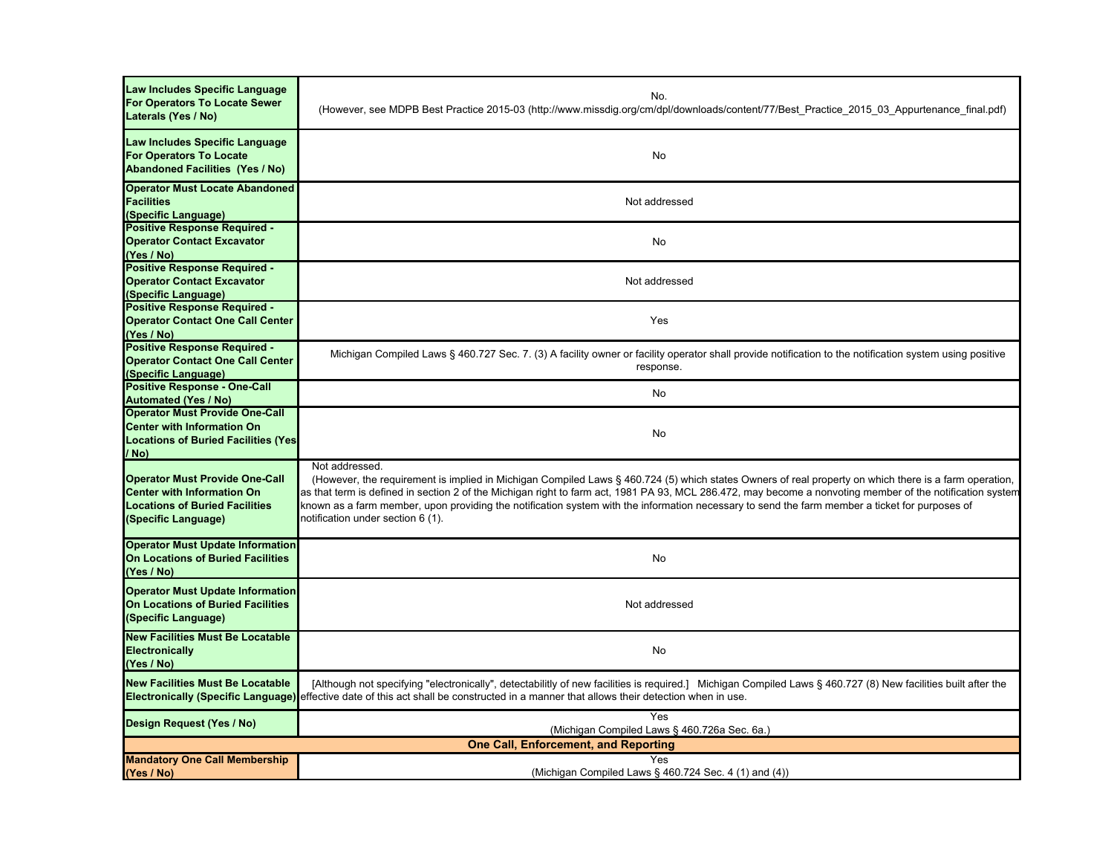| Law Includes Specific Language<br><b>For Operators To Locate Sewer</b><br>Laterals (Yes / No)                                              | No.<br>(However, see MDPB Best Practice 2015-03 (http://www.missdig.org/cm/dpl/downloads/content/77/Best_Practice_2015_03_Appurtenance_final.pdf)                                                                                                                                                                                                                                                                                                                                                                           |
|--------------------------------------------------------------------------------------------------------------------------------------------|-----------------------------------------------------------------------------------------------------------------------------------------------------------------------------------------------------------------------------------------------------------------------------------------------------------------------------------------------------------------------------------------------------------------------------------------------------------------------------------------------------------------------------|
| Law Includes Specific Language<br><b>For Operators To Locate</b><br><b>Abandoned Facilities (Yes / No)</b>                                 | No                                                                                                                                                                                                                                                                                                                                                                                                                                                                                                                          |
| <b>Operator Must Locate Abandoned</b><br><b>Facilities</b><br>(Specific Language)                                                          | Not addressed                                                                                                                                                                                                                                                                                                                                                                                                                                                                                                               |
| <b>Positive Response Required -</b><br><b>Operator Contact Excavator</b><br>(Yes / No)                                                     | No                                                                                                                                                                                                                                                                                                                                                                                                                                                                                                                          |
| <b>Positive Response Required -</b><br><b>Operator Contact Excavator</b><br>(Specific Language)                                            | Not addressed                                                                                                                                                                                                                                                                                                                                                                                                                                                                                                               |
| Positive Response Required -<br><b>Operator Contact One Call Center</b><br>(Yes / No)                                                      | Yes                                                                                                                                                                                                                                                                                                                                                                                                                                                                                                                         |
| Positive Response Required -<br><b>Operator Contact One Call Center</b><br>(Specific Language)                                             | Michigan Compiled Laws § 460.727 Sec. 7. (3) A facility owner or facility operator shall provide notification to the notification system using positive<br>response.                                                                                                                                                                                                                                                                                                                                                        |
| <b>Positive Response - One-Call</b><br><b>Automated (Yes / No)</b>                                                                         | No                                                                                                                                                                                                                                                                                                                                                                                                                                                                                                                          |
| <b>Operator Must Provide One-Call</b><br><b>Center with Information On</b><br><b>Locations of Buried Facilities (Yes</b><br>/ No)          | No                                                                                                                                                                                                                                                                                                                                                                                                                                                                                                                          |
| <b>Operator Must Provide One-Call</b><br><b>Center with Information On</b><br><b>Locations of Buried Facilities</b><br>(Specific Language) | Not addressed.<br>(However, the requirement is implied in Michigan Compiled Laws § 460.724 (5) which states Owners of real property on which there is a farm operation,<br>as that term is defined in section 2 of the Michigan right to farm act, 1981 PA 93, MCL 286.472, may become a nonvoting member of the notification system<br>known as a farm member, upon providing the notification system with the information necessary to send the farm member a ticket for purposes of<br>notification under section 6 (1). |
| <b>Operator Must Update Information</b><br><b>On Locations of Buried Facilities</b><br>(Yes / No)                                          | No                                                                                                                                                                                                                                                                                                                                                                                                                                                                                                                          |
| <b>Operator Must Update Information</b><br><b>On Locations of Buried Facilities</b><br>(Specific Language)                                 | Not addressed                                                                                                                                                                                                                                                                                                                                                                                                                                                                                                               |
| <b>New Facilities Must Be Locatable</b><br>Electronically<br>(Yes / No)                                                                    | No                                                                                                                                                                                                                                                                                                                                                                                                                                                                                                                          |
| <b>New Facilities Must Be Locatable</b><br><b>Electronically (Specific Language)</b>                                                       | [Although not specifying "electronically", detectabilitly of new facilities is required.] Michigan Compiled Laws § 460.727 (8) New facilities built after the<br>effective date of this act shall be constructed in a manner that allows their detection when in use.                                                                                                                                                                                                                                                       |
| Design Request (Yes / No)                                                                                                                  | Yes<br>(Michigan Compiled Laws § 460.726a Sec. 6a.)                                                                                                                                                                                                                                                                                                                                                                                                                                                                         |
|                                                                                                                                            | <b>One Call, Enforcement, and Reporting</b>                                                                                                                                                                                                                                                                                                                                                                                                                                                                                 |
| <b>Mandatory One Call Membership</b><br>(Yes / No)                                                                                         | Yes<br>(Michigan Compiled Laws § 460.724 Sec. 4 (1) and (4))                                                                                                                                                                                                                                                                                                                                                                                                                                                                |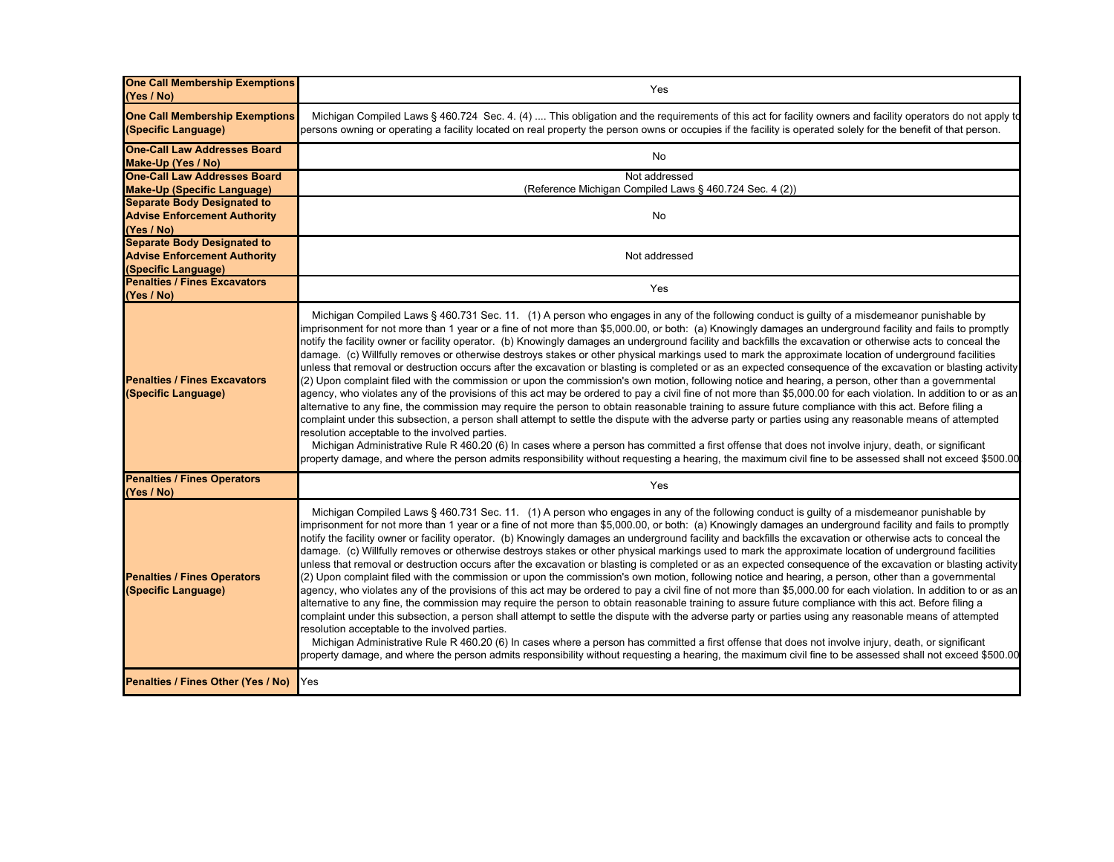| <b>One Call Membership Exemptions</b><br>(Yes / No)                                              | Yes                                                                                                                                                                                                                                                                                                                                                                                                                                                                                                                                                                                                                                                                                                                                                                                                                                                                                                                                                                                                                                                                                                                                                                                                                                                                                                                                                                                                                                                                                                                                                                                                                                                                                                                                                                                                                      |
|--------------------------------------------------------------------------------------------------|--------------------------------------------------------------------------------------------------------------------------------------------------------------------------------------------------------------------------------------------------------------------------------------------------------------------------------------------------------------------------------------------------------------------------------------------------------------------------------------------------------------------------------------------------------------------------------------------------------------------------------------------------------------------------------------------------------------------------------------------------------------------------------------------------------------------------------------------------------------------------------------------------------------------------------------------------------------------------------------------------------------------------------------------------------------------------------------------------------------------------------------------------------------------------------------------------------------------------------------------------------------------------------------------------------------------------------------------------------------------------------------------------------------------------------------------------------------------------------------------------------------------------------------------------------------------------------------------------------------------------------------------------------------------------------------------------------------------------------------------------------------------------------------------------------------------------|
| <b>One Call Membership Exemptions</b><br>(Specific Language)                                     | Michigan Compiled Laws § 460.724 Sec. 4. (4)  This obligation and the requirements of this act for facility owners and facility operators do not apply to<br>persons owning or operating a facility located on real property the person owns or occupies if the facility is operated solely for the benefit of that person.                                                                                                                                                                                                                                                                                                                                                                                                                                                                                                                                                                                                                                                                                                                                                                                                                                                                                                                                                                                                                                                                                                                                                                                                                                                                                                                                                                                                                                                                                              |
| <b>One-Call Law Addresses Board</b><br>Make-Up (Yes / No)                                        | No                                                                                                                                                                                                                                                                                                                                                                                                                                                                                                                                                                                                                                                                                                                                                                                                                                                                                                                                                                                                                                                                                                                                                                                                                                                                                                                                                                                                                                                                                                                                                                                                                                                                                                                                                                                                                       |
| <b>One-Call Law Addresses Board</b>                                                              | Not addressed                                                                                                                                                                                                                                                                                                                                                                                                                                                                                                                                                                                                                                                                                                                                                                                                                                                                                                                                                                                                                                                                                                                                                                                                                                                                                                                                                                                                                                                                                                                                                                                                                                                                                                                                                                                                            |
| <b>Make-Up (Specific Language)</b><br><b>Separate Body Designated to</b>                         | (Reference Michigan Compiled Laws § 460.724 Sec. 4 (2))                                                                                                                                                                                                                                                                                                                                                                                                                                                                                                                                                                                                                                                                                                                                                                                                                                                                                                                                                                                                                                                                                                                                                                                                                                                                                                                                                                                                                                                                                                                                                                                                                                                                                                                                                                  |
| <b>Advise Enforcement Authority</b><br>(Yes / No)                                                | No                                                                                                                                                                                                                                                                                                                                                                                                                                                                                                                                                                                                                                                                                                                                                                                                                                                                                                                                                                                                                                                                                                                                                                                                                                                                                                                                                                                                                                                                                                                                                                                                                                                                                                                                                                                                                       |
| <b>Separate Body Designated to</b><br><b>Advise Enforcement Authority</b><br>(Specific Language) | Not addressed                                                                                                                                                                                                                                                                                                                                                                                                                                                                                                                                                                                                                                                                                                                                                                                                                                                                                                                                                                                                                                                                                                                                                                                                                                                                                                                                                                                                                                                                                                                                                                                                                                                                                                                                                                                                            |
| <b>Penalties / Fines Excavators</b><br>(Yes / No)                                                | Yes                                                                                                                                                                                                                                                                                                                                                                                                                                                                                                                                                                                                                                                                                                                                                                                                                                                                                                                                                                                                                                                                                                                                                                                                                                                                                                                                                                                                                                                                                                                                                                                                                                                                                                                                                                                                                      |
| <b>Penalties / Fines Excavators</b><br>(Specific Language)                                       | Michigan Compiled Laws § 460.731 Sec. 11. (1) A person who engages in any of the following conduct is guilty of a misdemeanor punishable by<br>imprisonment for not more than 1 year or a fine of not more than \$5,000.00, or both: (a) Knowingly damages an underground facility and fails to promptly<br>notify the facility owner or facility operator. (b) Knowingly damages an underground facility and backfills the excavation or otherwise acts to conceal the<br>damage. (c) Willfully removes or otherwise destroys stakes or other physical markings used to mark the approximate location of underground facilities<br>unless that removal or destruction occurs after the excavation or blasting is completed or as an expected consequence of the excavation or blasting activity<br>(2) Upon complaint filed with the commission or upon the commission's own motion, following notice and hearing, a person, other than a governmental<br>agency, who violates any of the provisions of this act may be ordered to pay a civil fine of not more than \$5,000.00 for each violation. In addition to or as an<br>alternative to any fine, the commission may require the person to obtain reasonable training to assure future compliance with this act. Before filing a<br>complaint under this subsection, a person shall attempt to settle the dispute with the adverse party or parties using any reasonable means of attempted<br>resolution acceptable to the involved parties.<br>Michigan Administrative Rule R 460.20 (6) In cases where a person has committed a first offense that does not involve injury, death, or significant<br>property damage, and where the person admits responsibility without requesting a hearing, the maximum civil fine to be assessed shall not exceed \$500.00 |
| <b>Penalties / Fines Operators</b><br>(Yes / No)                                                 | Yes                                                                                                                                                                                                                                                                                                                                                                                                                                                                                                                                                                                                                                                                                                                                                                                                                                                                                                                                                                                                                                                                                                                                                                                                                                                                                                                                                                                                                                                                                                                                                                                                                                                                                                                                                                                                                      |
| <b>Penalties / Fines Operators</b><br>(Specific Language)                                        | Michigan Compiled Laws § 460.731 Sec. 11. (1) A person who engages in any of the following conduct is guilty of a misdemeanor punishable by<br>imprisonment for not more than 1 year or a fine of not more than \$5,000.00, or both: (a) Knowingly damages an underground facility and fails to promptly<br>notify the facility owner or facility operator. (b) Knowingly damages an underground facility and backfills the excavation or otherwise acts to conceal the<br>damage. (c) Willfully removes or otherwise destroys stakes or other physical markings used to mark the approximate location of underground facilities<br>unless that removal or destruction occurs after the excavation or blasting is completed or as an expected consequence of the excavation or blasting activity<br>(2) Upon complaint filed with the commission or upon the commission's own motion, following notice and hearing, a person, other than a governmental<br>agency, who violates any of the provisions of this act may be ordered to pay a civil fine of not more than \$5,000.00 for each violation. In addition to or as an<br>alternative to any fine, the commission may require the person to obtain reasonable training to assure future compliance with this act. Before filing a<br>complaint under this subsection, a person shall attempt to settle the dispute with the adverse party or parties using any reasonable means of attempted<br>resolution acceptable to the involved parties.<br>Michigan Administrative Rule R 460.20 (6) In cases where a person has committed a first offense that does not involve injury, death, or significant<br>property damage, and where the person admits responsibility without requesting a hearing, the maximum civil fine to be assessed shall not exceed \$500.00 |
| Penalties / Fines Other (Yes / No)                                                               | Yes                                                                                                                                                                                                                                                                                                                                                                                                                                                                                                                                                                                                                                                                                                                                                                                                                                                                                                                                                                                                                                                                                                                                                                                                                                                                                                                                                                                                                                                                                                                                                                                                                                                                                                                                                                                                                      |